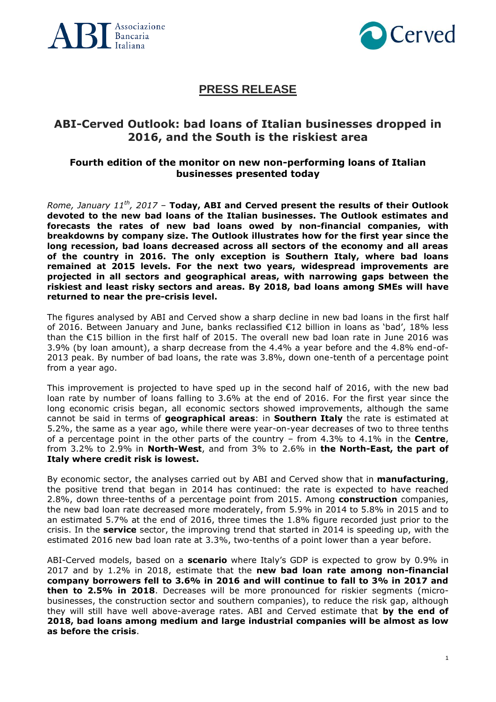



## **PRESS RELEASE**

## **ABI-Cerved Outlook: bad loans of Italian businesses dropped in 2016, and the South is the riskiest area**

## **Fourth edition of the monitor on new non-performing loans of Italian businesses presented today**

*Rome, January 11th , 2017* – **Today, ABI and Cerved present the results of their Outlook devoted to the new bad loans of the Italian businesses. The Outlook estimates and forecasts the rates of new bad loans owed by non-financial companies, with breakdowns by company size. The Outlook illustrates how for the first year since the long recession, bad loans decreased across all sectors of the economy and all areas of the country in 2016. The only exception is Southern Italy, where bad loans remained at 2015 levels. For the next two years, widespread improvements are projected in all sectors and geographical areas, with narrowing gaps between the riskiest and least risky sectors and areas. By 2018, bad loans among SMEs will have returned to near the pre-crisis level.**

The figures analysed by ABI and Cerved show a sharp decline in new bad loans in the first half of 2016. Between January and June, banks reclassified €12 billion in loans as 'bad', 18% less than the €15 billion in the first half of 2015. The overall new bad loan rate in June 2016 was 3.9% (by loan amount), a sharp decrease from the 4.4% a year before and the 4.8% end-of-2013 peak. By number of bad loans, the rate was 3.8%, down one-tenth of a percentage point from a year ago.

This improvement is projected to have sped up in the second half of 2016, with the new bad loan rate by number of loans falling to 3.6% at the end of 2016. For the first year since the long economic crisis began, all economic sectors showed improvements, although the same cannot be said in terms of **geographical areas**: in **Southern Italy** the rate is estimated at 5.2%, the same as a year ago, while there were year-on-year decreases of two to three tenths of a percentage point in the other parts of the country – from 4.3% to 4.1% in the **Centre**, from 3.2% to 2.9% in **North-West**, and from 3% to 2.6% in **the North-East, the part of Italy where credit risk is lowest.**

By economic sector, the analyses carried out by ABI and Cerved show that in **manufacturing**, the positive trend that began in 2014 has continued: the rate is expected to have reached 2.8%, down three-tenths of a percentage point from 2015. Among **construction** companies, the new bad loan rate decreased more moderately, from 5.9% in 2014 to 5.8% in 2015 and to an estimated 5.7% at the end of 2016, three times the 1.8% figure recorded just prior to the crisis. In the **service** sector, the improving trend that started in 2014 is speeding up, with the estimated 2016 new bad loan rate at 3.3%, two-tenths of a point lower than a year before.

ABI-Cerved models, based on a **scenario** where Italy's GDP is expected to grow by 0.9% in 2017 and by 1.2% in 2018, estimate that the **new bad loan rate among non-financial company borrowers fell to 3.6% in 2016 and will continue to fall to 3% in 2017 and then to 2.5% in 2018**. Decreases will be more pronounced for riskier segments (microbusinesses, the construction sector and southern companies), to reduce the risk gap, although they will still have well above-average rates. ABI and Cerved estimate that **by the end of 2018, bad loans among medium and large industrial companies will be almost as low as before the crisis**.